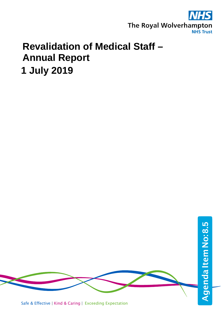

# **Revalidation of Medical Staff – Annual Report 1 July 2019**

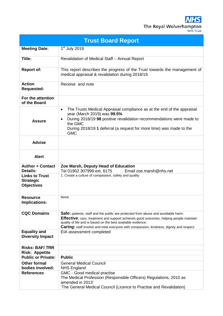| <b>Trust Board Report</b>                                      |                                                                                                                                                                                                                                                                                                                                                |  |  |
|----------------------------------------------------------------|------------------------------------------------------------------------------------------------------------------------------------------------------------------------------------------------------------------------------------------------------------------------------------------------------------------------------------------------|--|--|
| <b>Meeting Date:</b>                                           | $1st$ July 2019                                                                                                                                                                                                                                                                                                                                |  |  |
| Title:                                                         | Revalidation of Medical Staff - Annual Report                                                                                                                                                                                                                                                                                                  |  |  |
| <b>Report of:</b>                                              | This report describes the progress of the Trust towards the management of<br>medical appraisal & revalidation during 2018/19.                                                                                                                                                                                                                  |  |  |
| <b>Action</b><br><b>Requested:</b>                             | Receive and note                                                                                                                                                                                                                                                                                                                               |  |  |
| For the attention<br>of the Board                              |                                                                                                                                                                                                                                                                                                                                                |  |  |
| <b>Assure</b>                                                  | The Trusts Medical Appraisal compliance as at the end of the appraisal<br>$\bullet$<br>year (March 2019) was 99.5%<br>During 2018/19 98 positive revalidation recommendations were made to<br>the GMC<br>During 2018/19 1 deferral (a request for more time) was made to the<br><b>GMC</b>                                                     |  |  |
| <b>Advise</b>                                                  |                                                                                                                                                                                                                                                                                                                                                |  |  |
| <b>Alert</b>                                                   |                                                                                                                                                                                                                                                                                                                                                |  |  |
| <b>Author + Contact</b><br><b>Details:</b>                     | Zoe Marsh, Deputy Head of Education<br>Tel 01902 307999 ext. 6175<br>Email zoe.marsh@nhs.net                                                                                                                                                                                                                                                   |  |  |
| <b>Links to Trust</b><br><b>Strategic</b><br><b>Objectives</b> | 1. Create a culture of compassion, safety and quality                                                                                                                                                                                                                                                                                          |  |  |
| <b>Resource</b><br>Implications:                               | None                                                                                                                                                                                                                                                                                                                                           |  |  |
| <b>CQC Domains</b>                                             | Safe: patients, staff and the public are protected from abuse and avoidable harm.<br>Effective: care, treatment and support achieves good outcomes, helping people maintain<br>quality of life and is based on the best available evidence.<br><b>Caring:</b> staff involve and treat everyone with compassion, kindness, dignity and respect. |  |  |
| <b>Equality and</b><br><b>Diversity Impact</b>                 | EIA assessment completed                                                                                                                                                                                                                                                                                                                       |  |  |
| <b>Risks: BAF/TRR</b>                                          |                                                                                                                                                                                                                                                                                                                                                |  |  |
| <b>Risk: Appetite</b>                                          |                                                                                                                                                                                                                                                                                                                                                |  |  |
| <b>Public or Private:</b>                                      | <b>Public</b>                                                                                                                                                                                                                                                                                                                                  |  |  |
| <b>Other formal</b>                                            | <b>General Medical Council</b>                                                                                                                                                                                                                                                                                                                 |  |  |
| bodies involved:                                               | <b>NHS England</b>                                                                                                                                                                                                                                                                                                                             |  |  |
| <b>References</b>                                              | GMC - Good medical practise<br>The Medical Profession (Responsible Officers) Regulations, 2010 as<br>amended in 2013'                                                                                                                                                                                                                          |  |  |

'The General Medical Council (Licence to Practise and Revalidation)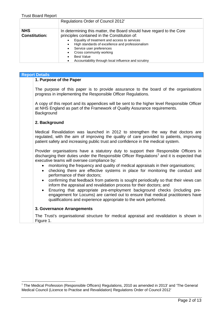|                                    | Regulations Order of Council 2012'                                                                                                                                                                                                                                                                                                                          |
|------------------------------------|-------------------------------------------------------------------------------------------------------------------------------------------------------------------------------------------------------------------------------------------------------------------------------------------------------------------------------------------------------------|
| <b>NHS</b><br><b>Constitution:</b> | In determining this matter, the Board should have regard to the Core<br>principles contained in the Constitution of:<br>Equality of treatment and access to services<br>High standards of excellence and professionalism<br>Service user preferences<br>Cross community working<br><b>Best Value</b><br>Accountability through local influence and scrutiny |

| <b>Report Details</b>                                                                                                                                |
|------------------------------------------------------------------------------------------------------------------------------------------------------|
| 1. Purpose of the Paper                                                                                                                              |
| The purpose of this paper is to provide assurance to the board of the organisations<br>progress in implementing the Responsible Officer Regulations. |
| A copy of this report and its appendices will be sent to the higher level Responsible Officer                                                        |

**Reponsible Officer and its appendice** at NHS England as part of the Framework of Quality Assurance requirements. **Background** 

### **2. Background**

Medical Revalidation was launched in 2012 to strengthen the way that doctors are regulated, with the aim of improving the quality of care provided to patients, improving patient safety and increasing public trust and confidence in the medical system.

Provider organisations have a statutory duty to support their Responsible Officers in discharging their duties under the Responsible Officer Regulations<sup>[1](#page-2-0)</sup> and it is expected that executive teams will oversee compliance by:

- monitoring the frequency and quality of medical appraisals in their organisations;
- checking there are effective systems in place for monitoring the conduct and performance of their doctors;
- confirming that feedback from patients is sought periodically so that their views can inform the appraisal and revalidation process for their doctors; and
- Ensuring that appropriate pre-employment background checks (including preengagement for Locums) are carried out to ensure that medical practitioners have qualifications and experience appropriate to the work performed.

### **3. Governance Arrangements**

The Trust's organisational structure for medical appraisal and revalidation is shown in Figure 1.

<span id="page-2-0"></span> $1$  The Medical Profession (Responsible Officers) Regulations, 2010 as amended in 2013' and 'The General Medical Council (Licence to Practise and Revalidation) Regulations Order of Council 2012'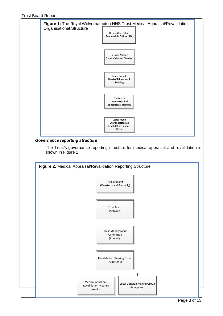

The Trust's governance reporting structure for medical appraisal and revalidation is shown in Figure 2.

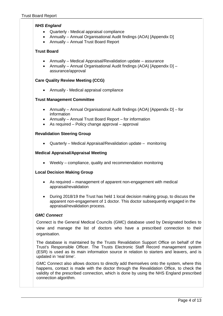### *NHS England*

- Quarterly Medical appraisal compliance
- Annually Annual Organisational Audit findings (AOA) [Appendix D]
- Annually Annual Trust Board Report

### **Trust Board**

- Annually Medical Appraisal/Revalidation update assurance
- Annually Annual Organisational Audit findings (AOA) [Appendix D] assurance/approval

### **Care Quality Review Meeting (CCG)**

• Annually - Medical appraisal compliance

### **Trust Management Committee**

- Annually Annual Organisational Audit findings (AOA) [Appendix D] for information
- Annually Annual Trust Board Report for information
- As required Policy change approval approval

### **Revalidation Steering Group**

• Quarterly – Medical Appraisal/Revalidation update – monitoring

### **Medical Appraisal/Appraisal Meeting**

• Weekly – compliance, quality and recommendation monitoring

### **Local Decision Making Group**

- As required management of apparent non-engagement with medical appraisal/revalidation
- During 2018/19 the Trust has held 1 local decision making group, to discuss the apparent non-engagement of 1 doctor. This doctor subsequently engaged in the appraisal/revalidation process.

### *GMC Connect*

Connect is the General Medical Councils (GMC) database used by Designated bodies to view and manage the list of doctors who have a prescribed connection to their organisation.

The database is maintained by the Trusts Revalidation Support Office on behalf of the Trust's Responsible Officer. The Trusts Electronic Staff Record management system (ESR) is used as its main information source in relation to starters and leavers, and is updated in 'real time'.

GMC Connect also allows doctors to directly add themselves onto the system, where this happens, contact is made with the doctor through the Revalidation Office, to check the validity of the prescribed connection, which is done by using the NHS England prescribed connection algorithm.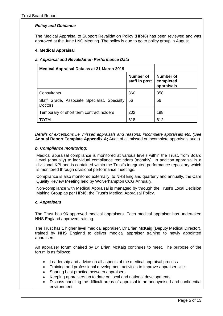### *Policy and Guidance*

The Medical Appraisal to Support Revalidation Policy (HR46) has been reviewed and was approved at the June LNC Meeting. The policy is due to go to policy group in August.

### **4. Medical Appraisal**

### *a. Appraisal and Revalidation Performance Data*

| <b>Medical Appraisal Data as at 31 March 2019</b>              |                            |                                             |
|----------------------------------------------------------------|----------------------------|---------------------------------------------|
|                                                                | Number of<br>staff in post | <b>Number of</b><br>completed<br>appraisals |
| Consultants                                                    | 360                        | 358                                         |
| Staff Grade, Associate Specialist, Specialty<br><b>Doctors</b> | 56                         | 56                                          |
| Temporary or short term contract holders                       | 202                        | 198                                         |
| TOTAI                                                          | 618                        | 612                                         |

*Details of exceptions i.e. missed appraisals and reasons, incomplete appraisals etc. (See*  **Annual Report Template Appendix A;** Audit of all missed or incomplete appraisals audit)

### *b. Compliance monitoring:*

Medical appraisal compliance is monitored at various levels within the Trust, from Board Level (annually) to individual compliance reminders (monthly). In addition appraisal is a divisional KPI and is contained within the Trust's integrated performance repository which is monitored through divisional performance meetings.

Compliance is also monitored externally, to NHS England quarterly and annually, the Care Quality Review Meeting held by Wolverhampton CCG Annually.

Non-compliance with Medical Appraisal is managed by through the Trust's Local Decision Making Group as per HR46, the Trust's Medical Appraisal Policy.

### *c. Appraisers*

The Trust has **96** approved medical appraisers. Each medical appraiser has undertaken NHS England approved training.

The Trust has **1** higher level medical appraiser, Dr Brian McKaig (Deputy Medical Director), trained by NHS England to deliver medical appraiser training to newly appointed appraisers.

An appraiser forum chaired by Dr Brian McKaig continues to meet. The purpose of the forum is as follows:

- Leadership and advice on all aspects of the medical appraisal process
- Training and professional development activities to improve appraiser skills
- Sharing best practice between appraisers
- Keeping appraisers up to date on local and national developments
- Discuss handling the difficult areas of appraisal in an anonymised and confidential environment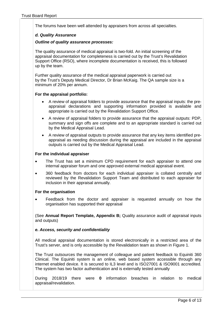The forums have been well attended by appraisers from across all specialties.

### *d. Quality Assurance*

#### *Outline of quality assurance processes:*

The quality assurance of medical appraisal is two-fold. An initial screening of the appraisal documentation for completeness is carried out by the Trust's Revalidation Support Office (RSO), where incomplete documentation is received, this is followed up by the team.

Further quality assurance of the medical appraisal paperwork is carried out by the Trust's Deputy Medical Director, Dr Brian McKaig. The QA sample size is a minimum of 20% per annum.

### **For the appraisal portfolio:**

- A review of appraisal folders to provide assurance that the appraisal inputs: the preappraisal declarations and supporting information provided is available and appropriate is carried out by the Revalidation Support Office.
- A review of appraisal folders to provide assurance that the appraisal outputs: PDP, summary and sign offs are complete and to an appropriate standard is carried out by the Medical Appraisal Lead.
- A review of appraisal outputs to provide assurance that any key items identified preappraisal as needing discussion during the appraisal are included in the appraisal outputs is carried out by the Medical Appraisal Lead.

### **For the individual appraiser**

- The Trust has set a minimum CPD requirement for each appraiser to attend one internal appraiser forum and one approved external medical appraisal event.
- 360 feedback from doctors for each individual appraiser is collated centrally and reviewed by the Revalidation Support Team and distributed to each appraiser for inclusion in their appraisal annually.

### **For the organisation**

• Feedback from the doctor and appraiser is requested annually on how the organisation has supported their appraisal

(See **Annual Report Template, Appendix B;** Quality assurance audit of appraisal inputs and outputs)

### *e. Access, security and confidentiality*

All medical appraisal documentation is stored electronically in a restricted area of the Trust's server, and is only accessible by the Revalidation team as shown in Figure 1.

The Trust outsources the management of colleague and patient feedback to Equiniti 360 Clinical. The Equiniti system is an online, web based system accessible through any internet enabled device. It is secured to IL3 level and is ISO27001 & ISO9001 accredited. The system has two factor authentication and is externally tested annually

During 2018/19 there were **0** information breaches in relation to medical appraisal/revalidation.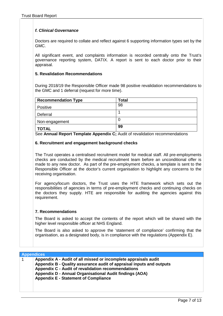### *f. Clinical Governance*

Doctors are required to collate and reflect against 6 supporting information types set by the GMC.

All significant event, and complaints information is recorded centrally onto the Trust's governance reporting system, DATIX. A report is sent to each doctor prior to their appraisal.

### **5. Revalidation Recommendations**

During 2018/19 the Responsible Officer made 98 positive revalidation recommendations to the GMC and 1 deferral (request for more time).

| <b>Recommendation Type</b> | <b>Total</b> |
|----------------------------|--------------|
| Positive                   | 98           |
| Deferral                   |              |
| Non-engagement             |              |
| <b>TOTAL</b>               | 99           |

See **Annual Report Template Appendix C;** Audit of revalidation recommendations

### **6. Recruitment and engagement background checks**

The Trust operates a centralised recruitment model for medical staff. All pre-employments checks are conducted by the medical recruitment team before an unconditional offer is made to any new doctor. As part of the pre-employment checks, a template is sent to the Responsible Officer at the doctor's current organisation to highlight any concerns to the receiving organisation.

For agency/locum doctors, the Trust uses the HTE framework which sets out the responsibilities of agencies in terms of pre-employment checks and continuing checks on the doctors they supply. HTE are responsible for auditing the agencies against this requirement.

### **7. Recommendations**

The Board is asked to accept the contents of the report which will be shared with the higher level responsible officer at NHS England.

The Board is also asked to approve the 'statement of compliance' confirming that the organisation, as a designated body, is in compliance with the regulations (Appendix E).

| <b>Appendices</b>                                                                                                                                                                                                                                                                                       |  |  |
|---------------------------------------------------------------------------------------------------------------------------------------------------------------------------------------------------------------------------------------------------------------------------------------------------------|--|--|
| Appendix A - Audit of all missed or incomplete appraisals audit<br>Appendix B - Quality assurance audit of appraisal inputs and outputs<br>Appendix C - Audit of revalidation recommendations<br>Appendix D - Annual Organisational Audit findings (AOA)<br><b>Appendix E - Statement of Compliance</b> |  |  |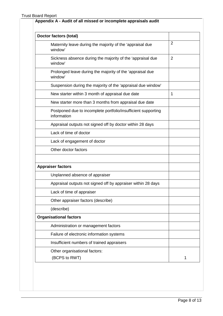| Doctor factors (total)                                                       |                |
|------------------------------------------------------------------------------|----------------|
| Maternity leave during the majority of the 'appraisal due<br>window'         | $\overline{2}$ |
| Sickness absence during the majority of the 'appraisal due<br>window'        | $\overline{2}$ |
| Prolonged leave during the majority of the 'appraisal due<br>window'         |                |
| Suspension during the majority of the 'appraisal due window'                 |                |
| New starter within 3 month of appraisal due date                             | 1              |
| New starter more than 3 months from appraisal due date                       |                |
| Postponed due to incomplete portfolio/insufficient supporting<br>information |                |
| Appraisal outputs not signed off by doctor within 28 days                    |                |
| Lack of time of doctor                                                       |                |
| Lack of engagement of doctor                                                 |                |
| Other doctor factors                                                         |                |
| <b>Appraiser factors</b>                                                     |                |
| Unplanned absence of appraiser                                               |                |
| Appraisal outputs not signed off by appraiser within 28 days                 |                |
| Lack of time of appraiser                                                    |                |
| Other appraiser factors (describe)                                           |                |
| (describe)                                                                   |                |
| <b>Organisational factors</b>                                                |                |
| Administration or management factors                                         |                |
| Failure of electronic information systems                                    |                |
| Insufficient numbers of trained appraisers                                   |                |
|                                                                              |                |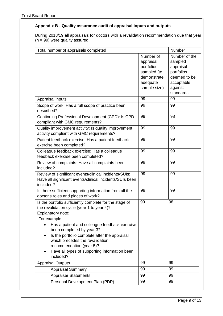### **Appendix B - Quality assurance audit of appraisal inputs and outputs**

During 2018/19 all appraisals for doctors with a revalidation recommendation due that year (n = 99) were quality assured.

| Total number of appraisals completed                                                                                                                                                                                                                                                                                                                                                                  |                                                                                                | Number                                                                                                    |
|-------------------------------------------------------------------------------------------------------------------------------------------------------------------------------------------------------------------------------------------------------------------------------------------------------------------------------------------------------------------------------------------------------|------------------------------------------------------------------------------------------------|-----------------------------------------------------------------------------------------------------------|
|                                                                                                                                                                                                                                                                                                                                                                                                       | Number of<br>appraisal<br>portfolios<br>sampled (to<br>demonstrate<br>adequate<br>sample size) | Number of the<br>sampled<br>appraisal<br>portfolios<br>deemed to be<br>acceptable<br>against<br>standards |
| Appraisal inputs                                                                                                                                                                                                                                                                                                                                                                                      | 99                                                                                             | 99                                                                                                        |
| Scope of work: Has a full scope of practice been<br>described?                                                                                                                                                                                                                                                                                                                                        | 99                                                                                             | 99                                                                                                        |
| Continuing Professional Development (CPD): Is CPD<br>compliant with GMC requirements?                                                                                                                                                                                                                                                                                                                 | 99                                                                                             | 98                                                                                                        |
| Quality improvement activity: Is quality improvement<br>activity compliant with GMC requirements?                                                                                                                                                                                                                                                                                                     | 99                                                                                             | 99                                                                                                        |
| Patient feedback exercise: Has a patient feedback<br>exercise been completed?                                                                                                                                                                                                                                                                                                                         | 99                                                                                             | 99                                                                                                        |
| Colleague feedback exercise: Has a colleague<br>feedback exercise been completed?                                                                                                                                                                                                                                                                                                                     | 99                                                                                             | 99                                                                                                        |
| Review of complaints: Have all complaints been<br>included?                                                                                                                                                                                                                                                                                                                                           | 99                                                                                             | 99                                                                                                        |
| Review of significant events/clinical incidents/SUIs:<br>Have all significant events/clinical incidents/SUIs been<br>included?                                                                                                                                                                                                                                                                        | 99                                                                                             | 99                                                                                                        |
| Is there sufficient supporting information from all the<br>doctor's roles and places of work?                                                                                                                                                                                                                                                                                                         | 99                                                                                             | 99                                                                                                        |
| Is the portfolio sufficiently complete for the stage of<br>the revalidation cycle (year 1 to year 4)?<br>Explanatory note:<br>For example<br>Has a patient and colleague feedback exercise<br>been completed by year 3?<br>Is the portfolio complete after the appraisal<br>which precedes the revalidation<br>recommendation (year 5)?<br>Have all types of supporting information been<br>included? | 99                                                                                             | 98                                                                                                        |
| <b>Appraisal Outputs</b>                                                                                                                                                                                                                                                                                                                                                                              | 99                                                                                             | 99                                                                                                        |
| <b>Appraisal Summary</b>                                                                                                                                                                                                                                                                                                                                                                              | 99                                                                                             | 99                                                                                                        |
| <b>Appraiser Statements</b>                                                                                                                                                                                                                                                                                                                                                                           | 99                                                                                             | 99                                                                                                        |
| Personal Development Plan (PDP)                                                                                                                                                                                                                                                                                                                                                                       | 99                                                                                             | 99                                                                                                        |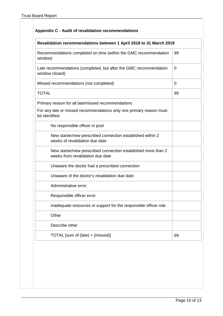|  |  |  | Appendix C - Audit of revalidation recommendations |
|--|--|--|----------------------------------------------------|
|--|--|--|----------------------------------------------------|

# **Revalidation recommendations between 1 April 2018 to 31 March 2019** Recommendations completed on time (within the GMC recommendation window) 99 Late recommendations (completed, but after the GMC recommendation window closed)  $\Omega$ Missed recommendations (not completed) and completed of  $\vert 0 \vert$ TOTAL 99 Primary reason for all late/missed recommendations For any late or missed recommendations only one primary reason must be identified No responsible officer in post New starter/new prescribed connection established within 2 weeks of revalidation due date New starter/new prescribed connection established more than 2 weeks from revalidation due date Unaware the doctor had a prescribed connection Unaware of the doctor's revalidation due date Administrative error Responsible officer error Inadequate resources or support for the responsible officer role **Other** Describe other TOTAL [sum of (late) + (missed)] 99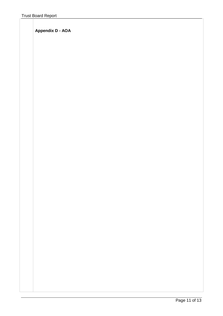**Appendix D - AOA**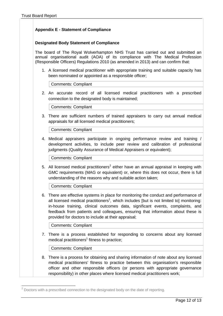### **Appendix E - Statement of Compliance**

### **Designated Body Statement of Compliance**

The board of The Royal Wolverhampton NHS Trust has carried out and submitted an annual organisational audit (AOA) of its compliance with The Medical Profession (Responsible Officers) Regulations 2010 (as amended in 2013) and can confirm that:

1. A licensed medical practitioner with appropriate training and suitable capacity has been nominated or appointed as a responsible officer;

Comments: Compliant

2. An accurate record of all licensed medical practitioners with a prescribed connection to the designated body is maintained;

Comments: Compliant

3. There are sufficient numbers of trained appraisers to carry out annual medical appraisals for all licensed medical practitioners;

Comments: Compliant

4. Medical appraisers participate in ongoing performance review and training / development activities, to include peer review and calibration of professional judgments (Quality Assurance of Medical Appraisers or equivalent);

Comments: Compliant

5. All licensed medical practitioners<sup>[2](#page-12-0)</sup> either have an annual appraisal in keeping with GMC requirements (MAG or equivalent) or, where this does not occur, there is full understanding of the reasons why and suitable action taken;

Comments: Compliant

6. There are effective systems in place for monitoring the conduct and performance of all licensed medical practitioners<sup>1</sup>, which includes [but is not limited to] monitoring: in-house training, clinical outcomes data, significant events, complaints, and feedback from patients and colleagues, ensuring that information about these is provided for doctors to include at their appraisal;

Comments: Compliant

7. There is a process established for responding to concerns about any licensed medical practitioners<sup>1</sup> fitness to practice;

Comments: Compliant

8. There is a process for obtaining and sharing information of note about any licensed medical practitioners' fitness to practice between this organisation's responsible officer and other responsible officers (or persons with appropriate governance responsibility) in other places where licensed medical practitioners work;

<span id="page-12-0"></span> $2^2$  Doctors with a prescribed connection to the designated body on the date of reporting.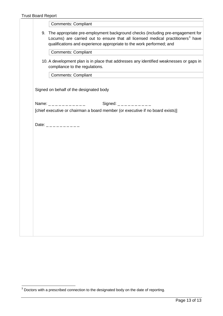| <b>Comments: Compliant</b><br>9. The appropriate pre-employment background checks (including pre-engagement for                                                     |
|---------------------------------------------------------------------------------------------------------------------------------------------------------------------|
|                                                                                                                                                                     |
| Locums) are carried out to ensure that all licensed medical practitioners <sup>3</sup> have<br>qualifications and experience appropriate to the work performed; and |
| Comments: Compliant                                                                                                                                                 |
| 10. A development plan is in place that addresses any identified weaknesses or gaps in<br>compliance to the regulations.                                            |
| <b>Comments: Compliant</b>                                                                                                                                          |
|                                                                                                                                                                     |
| Signed on behalf of the designated body                                                                                                                             |
|                                                                                                                                                                     |
| Signed: _ _ _ _ _ _ _ _ _ _<br>Name: $\frac{1}{2}$ - $\frac{1}{2}$ - $\frac{1}{2}$ - $\frac{1}{2}$ - $\frac{1}{2}$ - $\frac{1}{2}$                                  |
| [chief executive or chairman a board member (or executive if no board exists)]                                                                                      |
|                                                                                                                                                                     |
| Date: __________                                                                                                                                                    |
|                                                                                                                                                                     |
|                                                                                                                                                                     |
|                                                                                                                                                                     |
|                                                                                                                                                                     |
|                                                                                                                                                                     |
|                                                                                                                                                                     |
|                                                                                                                                                                     |
|                                                                                                                                                                     |
|                                                                                                                                                                     |
|                                                                                                                                                                     |
|                                                                                                                                                                     |
|                                                                                                                                                                     |
|                                                                                                                                                                     |
|                                                                                                                                                                     |
|                                                                                                                                                                     |
|                                                                                                                                                                     |
|                                                                                                                                                                     |
|                                                                                                                                                                     |
|                                                                                                                                                                     |

<span id="page-13-0"></span> $3$  Doctors with a prescribed connection to the designated body on the date of reporting.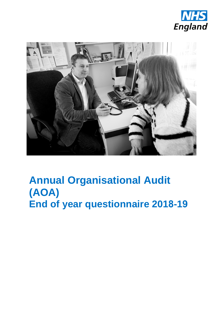



# **(AOA) End of year questionnaire 2018-19Annual Organisational Audit**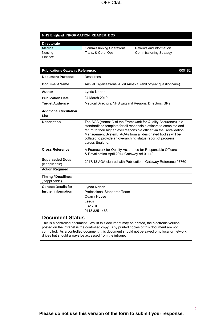### **NHS England INFORMATION READER BOX**

| <b>Directorate</b> |                                 |      |
|--------------------|---------------------------------|------|
| <b>Medical</b>     | <b>Commissioning Operations</b> | Pati |
| Nursing            | Trans. & Corp. Ops.             | Con  |
| Finance            |                                 |      |

ents and Information nmissioning Strategy

| 000182<br><b>Publications Gateway Reference:</b>  |                                                                                                                                                                                                                                                                                                                                                               |  |
|---------------------------------------------------|---------------------------------------------------------------------------------------------------------------------------------------------------------------------------------------------------------------------------------------------------------------------------------------------------------------------------------------------------------------|--|
| <b>Document Purpose</b>                           | <b>Resources</b>                                                                                                                                                                                                                                                                                                                                              |  |
| <b>Document Name</b>                              | Annual Organisational Audit Annex C (end of year questionnaire)                                                                                                                                                                                                                                                                                               |  |
| Author                                            | Lynda Norton                                                                                                                                                                                                                                                                                                                                                  |  |
| <b>Publication Date</b>                           | 24 March 2019                                                                                                                                                                                                                                                                                                                                                 |  |
| <b>Target Audience</b>                            | Medical Directors, NHS England Regional Directors, GPs                                                                                                                                                                                                                                                                                                        |  |
| <b>Additional Circulation</b><br>List             |                                                                                                                                                                                                                                                                                                                                                               |  |
| <b>Description</b>                                | The AOA (Annex C of the Framework for Quality Assurance) is a<br>standardised template for all responsible officers to complete and<br>return to their higher level responsible officer via the Revalidation<br>Management System. AOAs from all designated bodies will be<br>collated to provide an overarching status report of progress<br>across England. |  |
| <b>Cross Reference</b>                            | A Framework for Quality Assurance for Responsible Officers<br>& Revalidation April 2014 Gateway ref 01142                                                                                                                                                                                                                                                     |  |
| <b>Superseded Docs</b><br>(if applicable)         | 2017/18 AOA cleared with Publications Gateway Reference 07760                                                                                                                                                                                                                                                                                                 |  |
| <b>Action Required</b>                            |                                                                                                                                                                                                                                                                                                                                                               |  |
| <b>Timing / Deadlines</b><br>(if applicable)      |                                                                                                                                                                                                                                                                                                                                                               |  |
| <b>Contact Details for</b><br>further information | Lynda Norton<br>Professional Standards Team<br><b>Quarry House</b><br>Leeds<br>LS2 7UE<br>0113 825 1463                                                                                                                                                                                                                                                       |  |
| <b>Document Status</b>                            | This is a controlled document. Whilst this document may be printed, the electronic version<br>posted on the intranet is the controlled copy. Any printed copies of this document are not                                                                                                                                                                      |  |

controlled. As a controlled document, this document should not be saved onto local or network drives but should always be accessed from the intranet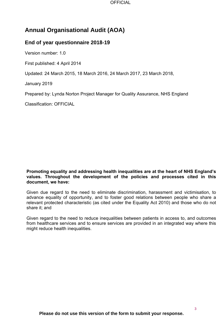

# **Annual Organisational Audit (AOA)**

### **End of year questionnaire 2018-19**

Version number: 1.0

First published: 4 April 2014

Updated: 24 March 2015, 18 March 2016, 24 March 2017, 23 March 2018,

January 2019

Prepared by: Lynda Norton Project Manager for Quality Assurance, NHS England

Classification: OFFICIAL

### **Promoting equality and addressing health inequalities are at the heart of NHS England's values. Throughout the development of the policies and processes cited in this document, we have:**

 relevant protected characteristic (as cited under the Equality Act 2010) and those who do not Given due regard to the need to eliminate discrimination, harassment and victimisation, to advance equality of opportunity, and to foster good relations between people who share a share it; and

Given regard to the need to reduce inequalities between patients in access to, and outcomes from healthcare services and to ensure services are provided in an integrated way where this might reduce health inequalities.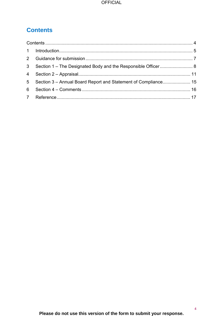# **Contents**

| 3 <sup>1</sup>  |  |
|-----------------|--|
|                 |  |
| $5\overline{)}$ |  |
| 6               |  |
|                 |  |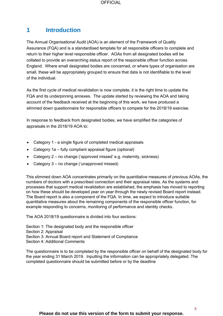### **1 Introduction**

 Assurance (FQA) and is a standardised template for all responsible officers to complete and return to their higher level responsible officer. AOAs from all designated bodies will be The Annual Organisational Audit (AOA) is an element of the Framework of Quality collated to provide an overarching status report of the responsible officer function across England. Where small designated bodies are concerned, or where types of organisation are small, these will be appropriately grouped to ensure that data is not identifiable to the level of the individual.

As the first cycle of medical revalidation is now complete, it is the right time to update the FQA and its underpinning annexes. The update started by reviewing the AOA and taking account of the feedback received at the beginning of this work, we have produced a slimmed down questionnaire for responsible officers to compete for the 2018/19 exercise.

In response to feedback from designated bodies, we have simplified the categories of appraisals in the 2018/19 AOA to:

- Category 1 a single figure of completed medical appraisals
- Category 1a fully compliant appraisal figure (optional)
- Category 2 no change ('approved missed' e.g. maternity, sickness)
- Category 3 no change ('unapproved missed)

This slimmed down AOA concentrates primarily on the quantitative measures of previous AOAs, the measures of the continued and the measures of the continued and the measures of the state of the continued and the continued a numbers of doctors with a prescribed connection and their appraisal rates. As the systems and processes that support medical revalidation are established, the emphasis has moved to reporting on how these should be developed year on year through the newly revised Board report instead. The Board report is also a component of the FQA. In time, we expect to introduce suitable quantitative measures about the remaining components of the responsible officer function, for example responding to concerns, monitoring of performance and identity checks.

The AOA 2018/19 questionnaire is divided into four sections:

Section 1: The designated body and the responsible officer

- Section 2: Appraisal
- Section 3: Annual Board report and Statement of Compliance
- Section 4: Additional Comments

 the year ending 31 March 2019. Inputting the information can be appropriately delegated. The The questionnaire is to be completed by the responsible officer on behalf of the designated body for completed questionnaire should be submitted before or by the deadline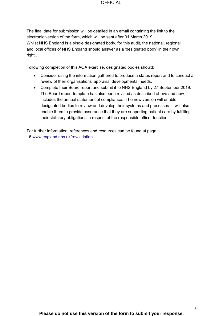The final date for submission will be detailed in an email containing the link to the electronic version of the form, which will be sent after 31 March 2019. Whilst NHS England is a single designated body, for this audit, the national, regional and local offices of NHS England should answer as a 'designated body' in their own right..

Following completion of this AOA exercise, designated bodies should:

- Consider using the information gathered to produce a status report and to conduct a review of their organisations' appraisal developmental needs.
- includes the annual statement of compliance. The new version will enable designated bodies to review and develop their systems and processes. It will also enable them to provide assurance that they are supporting patient care by fulfilling • Complete their Board report and submit it to NHS England by 27 September 2019. The Board report template has also been revised as described above and now their statutory obligations in respect of the responsible officer function.

For further information, references and resources can be found at page 16 www.england.nhs.uk/revalidation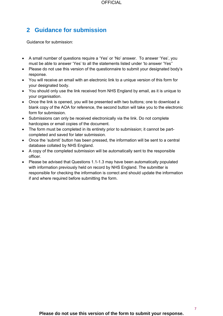### **2 Guidance for submission**

Guidance for submission:

- must be able to answer 'Yes' to all the statements listed under 'to answer 'Yes'' • A small number of questions require a 'Yes' or 'No' answer. To answer 'Yes', you
- • Please do not use this version of the questionnaire to submit your designated body's response.
- You will receive an email with an electronic link to a unique version of this form for your designated body.
- your organisation. • You should only use the link received from NHS England by email, as it is unique to
- • Once the link is opened, you will be presented with two buttons; one to download a blank copy of the AOA for reference, the second button will take you to the electronic form for submission.
- Submissions can only be received electronically via the link. Do not complete hardcopies or email copies of the document.
- The form must be completed in its entirety prior to submission; it cannot be partcompleted and saved for later submission.
- Once the 'submit' button has been pressed, the information will be sent to a central database collated by NHS England.
- A copy of the completed submission will be automatically sent to the responsible officer.
- • Please be advised that Questions 1.1-1.3 may have been automatically populated with information previously held on record by NHS England. The submitter is responsible for checking the information is correct and should update the information if and where required before submitting the form.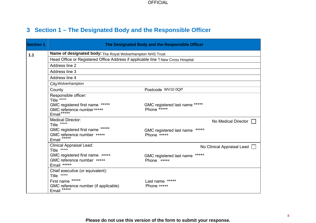# **3 Section 1 – The Designated Body and the Responsible Officer**

| <b>Section 1</b> |                                                                                                                         | The Designated Body and the Responsible Officer                          |  |  |  |
|------------------|-------------------------------------------------------------------------------------------------------------------------|--------------------------------------------------------------------------|--|--|--|
| 1.1              | Name of designated body: The Royal Wolverhampton NHS Trust                                                              |                                                                          |  |  |  |
|                  | Head Office or Registered Office Address if applicable line 1 New Cross Hospital                                        |                                                                          |  |  |  |
|                  | Address line 2                                                                                                          |                                                                          |  |  |  |
|                  | Address line 3                                                                                                          |                                                                          |  |  |  |
|                  | Address line 4                                                                                                          |                                                                          |  |  |  |
|                  | City Wolverhampton                                                                                                      |                                                                          |  |  |  |
|                  | County                                                                                                                  | Postcode WV10 0QP                                                        |  |  |  |
|                  | Responsible officer:<br>Title *****                                                                                     |                                                                          |  |  |  |
|                  | GMC registered first name *****<br>GMC reference number *****<br>Email*****                                             | GMC registered last name *****<br>Phone *****                            |  |  |  |
|                  | <b>Medical Director:</b><br>*****<br>Title<br>*****<br>GMC registered first name<br>GMC reference number *****<br>Email | No Medical Director<br>$****$<br>GMC registered last name<br>Phone ***** |  |  |  |
|                  | <b>Clinical Appraisal Lead:</b><br>Title *****                                                                          | No Clinical Appraisal Lead                                               |  |  |  |
|                  | GMC registered first name *****<br>GMC reference number *****<br>Email *****                                            | GMC registered last name *****<br>Phone *****                            |  |  |  |
|                  | Chief executive (or equivalent):<br>Title *****                                                                         |                                                                          |  |  |  |
|                  | First name *****<br>GMC reference number (if applicable)<br>Email                                                       | Last name *****<br>Phone *****                                           |  |  |  |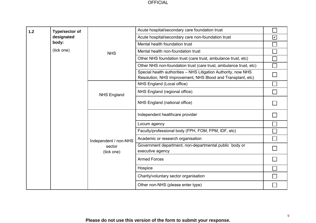| 1.2 | Type/sector of                                                                                                                |                       | Acute hospital/secondary care foundation trust                             |                         |
|-----|-------------------------------------------------------------------------------------------------------------------------------|-----------------------|----------------------------------------------------------------------------|-------------------------|
|     | designated                                                                                                                    |                       | Acute hospital/secondary care non-foundation trust                         | $\overline{\mathbf{v}}$ |
|     | body:                                                                                                                         |                       | Mental health foundation trust                                             |                         |
|     | (tick one)                                                                                                                    | <b>NHS</b>            | Mental health non-foundation trust                                         |                         |
|     |                                                                                                                               |                       | Other NHS foundation trust (care trust, ambulance trust, etc)              |                         |
|     |                                                                                                                               |                       | Other NHS non-foundation trust (care trust, ambulance trust, etc)          |                         |
|     | Special health authorities - NHS Litigation Authority, now NHS<br>Resolution, NHS Improvement, NHS Blood and Transplant, etc) |                       |                                                                            |                         |
|     |                                                                                                                               |                       | NHS England (Local office)                                                 |                         |
|     |                                                                                                                               | <b>NHS England</b>    | NHS England (regional office)                                              |                         |
|     |                                                                                                                               |                       | NHS England (national office)                                              |                         |
|     |                                                                                                                               |                       | Independent healthcare provider                                            |                         |
|     |                                                                                                                               |                       | Locum agency                                                               |                         |
|     |                                                                                                                               |                       | Faculty/professional body (FPH, FOM, FPM, IDF, etc)                        |                         |
|     |                                                                                                                               | Independent / non-NHS | Academic or research organisation                                          |                         |
|     |                                                                                                                               | sector<br>(tick one)  | Government department, non-departmental public body or<br>executive agency |                         |
|     |                                                                                                                               |                       | <b>Armed Forces</b>                                                        |                         |
|     |                                                                                                                               |                       | Hospice                                                                    |                         |
|     |                                                                                                                               |                       | Charity/voluntary sector organisation                                      |                         |
|     |                                                                                                                               |                       | Other non-NHS (please enter type)                                          |                         |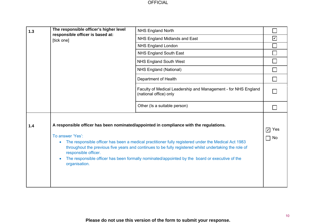| $1.3$ | The responsible officer's higher level                                 | <b>NHS England North</b>                                                                                                                                                                                                                                                                                                                                                                                  |                              |
|-------|------------------------------------------------------------------------|-----------------------------------------------------------------------------------------------------------------------------------------------------------------------------------------------------------------------------------------------------------------------------------------------------------------------------------------------------------------------------------------------------------|------------------------------|
|       | responsible officer is based at:<br>[tick one]                         | NHS England Midlands and East                                                                                                                                                                                                                                                                                                                                                                             | $\boxed{\checkmark}$         |
|       |                                                                        | <b>NHS England London</b>                                                                                                                                                                                                                                                                                                                                                                                 |                              |
|       |                                                                        | NHS England South East                                                                                                                                                                                                                                                                                                                                                                                    |                              |
|       |                                                                        | <b>NHS England South West</b>                                                                                                                                                                                                                                                                                                                                                                             |                              |
|       |                                                                        | NHS England (National)                                                                                                                                                                                                                                                                                                                                                                                    |                              |
|       |                                                                        | Department of Health                                                                                                                                                                                                                                                                                                                                                                                      |                              |
|       |                                                                        | Faculty of Medical Leadership and Management - for NHS England<br>(national office) only                                                                                                                                                                                                                                                                                                                  |                              |
|       |                                                                        | Other (Is a suitable person)                                                                                                                                                                                                                                                                                                                                                                              |                              |
| 1.4   | To answer 'Yes':<br>$\bullet$<br>responsible officer.<br>organisation. | A responsible officer has been nominated/appointed in compliance with the regulations.<br>The responsible officer has been a medical practitioner fully registered under the Medical Act 1983<br>throughout the previous five years and continues to be fully registered whilst undertaking the role of<br>The responsible officer has been formally nominated/appointed by the board or executive of the | $\nabla$ Yes<br>No<br>$\Box$ |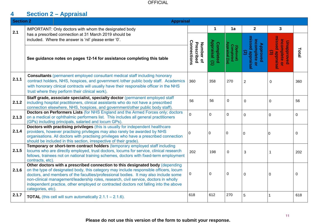#### **4 Section 2 – Appraisal**

| <b>Section 2</b> |                                                                           | <b>Appraisal</b>                                                                                                                                                                                                                                                                                                                                                                                                                               |                                        |                                     |                                           |                                                                                       |                                                                                                   |       |
|------------------|---------------------------------------------------------------------------|------------------------------------------------------------------------------------------------------------------------------------------------------------------------------------------------------------------------------------------------------------------------------------------------------------------------------------------------------------------------------------------------------------------------------------------------|----------------------------------------|-------------------------------------|-------------------------------------------|---------------------------------------------------------------------------------------|---------------------------------------------------------------------------------------------------|-------|
| 2.1              |                                                                           | IMPORTANT: Only doctors with whom the designated body                                                                                                                                                                                                                                                                                                                                                                                          |                                        | 1                                   | 1a                                        | $\mathbf{2}$                                                                          | 3                                                                                                 |       |
|                  |                                                                           | has a prescribed connection at 31 March 2019 should be<br>included. Where the answer is 'nil' please enter '0'.                                                                                                                                                                                                                                                                                                                                |                                        |                                     |                                           |                                                                                       |                                                                                                   |       |
|                  |                                                                           | See guidance notes on pages 12-14 for assistance completing this table                                                                                                                                                                                                                                                                                                                                                                         | Connections<br>Number of<br>Prescribed | Appraisal<br>Completed<br>$\ominus$ | (Optional)<br>Completed<br>Appraisal (1a) | missed appraisal<br><b>Approved</b><br>incomplete o<br>$\mathfrak{D}$<br>$\mathbf{Q}$ | missed appraisal<br>incomplete<br>Unapproved<br>$\widehat{\boldsymbol{\omega}}$<br>$\overline{Q}$ | Total |
| 2.1.1            |                                                                           | <b>Consultants (permanent employed consultant medical staff including honorary</b><br>contract holders, NHS, hospices, and government /other public body staff. Academics<br>with honorary clinical contracts will usually have their responsible officer in the NHS<br>trust where they perform their clinical work).                                                                                                                         | 360                                    | 358                                 | 270                                       | $\overline{c}$                                                                        | 0                                                                                                 | 360   |
| 2.1.2            |                                                                           | Staff grade, associate specialist, specialty doctor (permanent employed staff<br>including hospital practitioners, clinical assistants who do not have a prescribed<br>connection elsewhere, NHS, hospices, and government/other public body staff).                                                                                                                                                                                           | 56                                     | 56                                  | $\Omega$                                  | 0                                                                                     | 0                                                                                                 | 56    |
| 2.1.3            |                                                                           | <b>Doctors on Performers Lists (for NHS England and the Armed Forces only; doctors</b><br>on a medical or ophthalmic performers list. This includes all general practitioners<br>(GPs) including principals, salaried and locum GPs).                                                                                                                                                                                                          | $\Omega$                               | $\mathbf 0$                         | $\mathbf 0$                               | 0                                                                                     | 0                                                                                                 | 0     |
| 2.1.4            |                                                                           | Doctors with practising privileges (this is usually for independent healthcare<br>providers, however practising privileges may also rarely be awarded by NHS<br>organisations. All doctors with practising privileges who have a prescribed connection<br>should be included in this section, irrespective of their grade).                                                                                                                    |                                        | 0                                   | 0                                         | $\Omega$                                                                              | ۱O                                                                                                | 0     |
| 2.1.5            | contracts, etc).                                                          | Temporary or short-term contract holders (temporary employed staff including<br>locums who are directly employed, trust doctors, locums for service, clinical research<br>fellows, trainees not on national training schemes, doctors with fixed-term employment                                                                                                                                                                               | 202                                    | 198                                 | 0                                         | 3                                                                                     | 1                                                                                                 | 202   |
| 2.1.6            | categories, etc).                                                         | Other doctors with a prescribed connection to this designated body (depending<br>on the type of designated body, this category may include responsible officers, locum<br>doctors, and members of the faculties/professional bodies. It may also include some<br>non-clinical management/leadership roles, research, civil service, doctors in wholly<br>independent practice, other employed or contracted doctors not falling into the above | 0                                      | 0                                   | $\mathbf 0$                               | 0                                                                                     | 0                                                                                                 | 0     |
| 2.1.7            |                                                                           | <b>TOTAL</b> (this cell will sum automatically $2.1.1 - 2.1.6$ ).                                                                                                                                                                                                                                                                                                                                                                              | 618                                    | 612                                 | 270                                       | 5                                                                                     |                                                                                                   | 618   |
|                  | 11<br>Please do not use this version of the form to submit your response. |                                                                                                                                                                                                                                                                                                                                                                                                                                                |                                        |                                     |                                           |                                                                                       |                                                                                                   |       |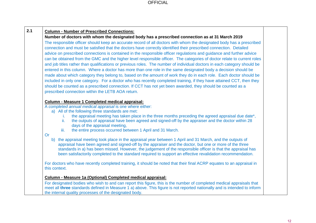|               | Number of doctors with whom the designated body has a prescribed connection as at 31 March 2019                                                                                                                         |
|---------------|-------------------------------------------------------------------------------------------------------------------------------------------------------------------------------------------------------------------------|
|               | The responsible officer should keep an accurate record of all doctors with whom the designated body has a prescribed                                                                                                    |
|               | connection and must be satisfied that the doctors have correctly identified their prescribed connection. Detailed                                                                                                       |
|               | advice on prescribed connections is contained in the responsible officer regulations and guidance and further advice                                                                                                    |
|               | can be obtained from the GMC and the higher level responsible officer. The categories of doctor relate to current roles                                                                                                 |
|               | and job titles rather than qualifications or previous roles. The number of individual doctors in each category should be                                                                                                |
|               | entered in this column. Where a doctor has more than one role in the same designated body a decision should be                                                                                                          |
|               | made about which category they belong to, based on the amount of work they do in each role. Each doctor should be                                                                                                       |
|               | included in only one category. For a doctor who has recently completed training, if they have attained CCT, then they                                                                                                   |
|               | should be counted as a prescribed connection. If CCT has not yet been awarded, they should be counted as a                                                                                                              |
|               | prescribed connection within the LETB AOA return.                                                                                                                                                                       |
|               |                                                                                                                                                                                                                         |
|               | Column - Measure 1 Completed medical appraisal:<br>A completed annual medical appraisal is one where either:                                                                                                            |
|               | a) All of the following three standards are met:                                                                                                                                                                        |
|               | the appraisal meeting has taken place in the three months preceding the agreed appraisal due date*,                                                                                                                     |
| ii.           | the outputs of appraisal have been agreed and signed-off by the appraiser and the doctor within 28                                                                                                                      |
|               | days of the appraisal meeting,                                                                                                                                                                                          |
| iii.          | the entire process occurred between 1 April and 31 March.                                                                                                                                                               |
| Or            |                                                                                                                                                                                                                         |
|               | b) the appraisal meeting took place in the appraisal year between 1 April and 31 March, and the outputs of                                                                                                              |
|               | appraisal have been agreed and signed-off by the appraiser and the doctor, but one or more of the three<br>standards in a) has been missed. However, the judgement of the responsible officer is that the appraisal has |
|               | been satisfactorily completed to the standard required to support an effective revalidation recommendation.                                                                                                             |
|               |                                                                                                                                                                                                                         |
|               | For doctors who have recently completed training, it should be noted that their final ACRP equates to an appraisal in                                                                                                   |
| this context. |                                                                                                                                                                                                                         |
|               |                                                                                                                                                                                                                         |
|               | Column - Measure 1a (Optional) Completed medical appraisal:                                                                                                                                                             |
|               | For designated bodies who wish to and can report this figure, this is the number of completed medical appraisals that                                                                                                   |
|               | meet all three standards defined in Measure 1 a) above. This figure is not reported nationally and is intended to inform                                                                                                |
|               | the internal quality processes of the designated body.                                                                                                                                                                  |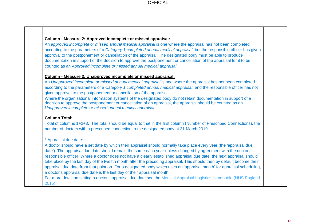### **Column - Measure 2: Approved incomplete or missed appraisal:**

An a*pproved incomplete or missed annual medical appraisal* is one where the appraisal has not been completed according to the parameters of a *Category 1 completed annual medical appraisal*, but the responsible officer has given approval to the postponement or cancellation of the appraisal. The designated body must be able to produce documentation in support of the decision to approve the postponement or cancellation of the appraisal for it to be counted as an *Approved incomplete or missed annual medical appraisal*.

### **Column - Measure 3: Unapproved incomplete or missed appraisal:**

An *Unapproved incomplete or missed annual medical appraisal* is one where the appraisal has not been completed according to the parameters of a *Category 1 completed annual medical appraisal*, and the responsible officer has not given approval to the postponement or cancellation of the appraisal.

Where the organisational information systems of the designated body do not retain documentation in support of a decision to approve the postponement or cancellation of an appraisal, the appraisal should be counted as an *Unapproved incomplete or missed annual medical appraisal*.

### **Column Total:**

Total of columns 1+2+3. The total should be equal to that in the first column (Number of Prescribed Connections), the number of doctors with a prescribed connection to the designated body at 31 March 2019.

### \* Appraisal due date:

A doctor should have a set date by which their appraisal should normally take place every year (the 'appraisal due date'). The appraisal due date should remain the same each year unless changed by agreement with the doctor's responsible officer. Where a doctor does not have a clearly established appraisal due date, the next appraisal should take place by the last day of the twelfth month after the preceding appraisal. This should then by default become their appraisal due date from that point on. For a designated body which uses an 'appraisal month' for appraisal scheduling, a doctor's appraisal due date is the last day of their appraisal month.

For more detail on setting a doctor's appraisal due date see the [Medical Appraisal Logistics Handbook:](https://www.england.nhs.uk/revalidation/wp-content/uploads/sites/10/2015/11/med-apprs-logstc-hndbk.pdf) (NHS England 2015).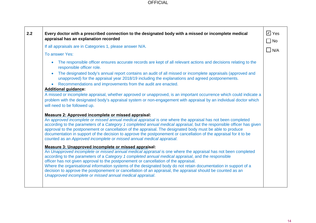| $\Box$ No<br>If all appraisals are in Categories 1, please answer N/A.<br>$\Box$ N/A<br>To answer Yes:<br>The responsible officer ensures accurate records are kept of all relevant actions and decisions relating to the<br>responsible officer role.<br>The designated body's annual report contains an audit of all missed or incomplete appraisals (approved and                                                                                                                                                                                                                                                                                                                                                                                                                                                                                                                                                                                                                                                                                                                                                                                                                                                                                                             |  |
|----------------------------------------------------------------------------------------------------------------------------------------------------------------------------------------------------------------------------------------------------------------------------------------------------------------------------------------------------------------------------------------------------------------------------------------------------------------------------------------------------------------------------------------------------------------------------------------------------------------------------------------------------------------------------------------------------------------------------------------------------------------------------------------------------------------------------------------------------------------------------------------------------------------------------------------------------------------------------------------------------------------------------------------------------------------------------------------------------------------------------------------------------------------------------------------------------------------------------------------------------------------------------------|--|
|                                                                                                                                                                                                                                                                                                                                                                                                                                                                                                                                                                                                                                                                                                                                                                                                                                                                                                                                                                                                                                                                                                                                                                                                                                                                                  |  |
|                                                                                                                                                                                                                                                                                                                                                                                                                                                                                                                                                                                                                                                                                                                                                                                                                                                                                                                                                                                                                                                                                                                                                                                                                                                                                  |  |
|                                                                                                                                                                                                                                                                                                                                                                                                                                                                                                                                                                                                                                                                                                                                                                                                                                                                                                                                                                                                                                                                                                                                                                                                                                                                                  |  |
| unapproved) for the appraisal year 2018/19 including the explanations and agreed postponements.<br>Recommendations and improvements from the audit are enacted.                                                                                                                                                                                                                                                                                                                                                                                                                                                                                                                                                                                                                                                                                                                                                                                                                                                                                                                                                                                                                                                                                                                  |  |
| <b>Additional guidance:</b>                                                                                                                                                                                                                                                                                                                                                                                                                                                                                                                                                                                                                                                                                                                                                                                                                                                                                                                                                                                                                                                                                                                                                                                                                                                      |  |
| A missed or incomplete appraisal, whether approved or unapproved, is an important occurrence which could indicate a<br>problem with the designated body's appraisal system or non-engagement with appraisal by an individual doctor which<br>will need to be followed up.                                                                                                                                                                                                                                                                                                                                                                                                                                                                                                                                                                                                                                                                                                                                                                                                                                                                                                                                                                                                        |  |
| Measure 2: Approved incomplete or missed appraisal:<br>An approved incomplete or missed annual medical appraisal is one where the appraisal has not been completed<br>according to the parameters of a Category 1 completed annual medical appraisal, but the responsible officer has given<br>approval to the postponement or cancellation of the appraisal. The designated body must be able to produce<br>documentation in support of the decision to approve the postponement or cancellation of the appraisal for it to be<br>counted as an Approved incomplete or missed annual medical appraisal.<br>Measure 3: Unapproved incomplete or missed appraisal:<br>An Unapproved incomplete or missed annual medical appraisal is one where the appraisal has not been completed<br>according to the parameters of a Category 1 completed annual medical appraisal, and the responsible<br>officer has not given approval to the postponement or cancellation of the appraisal.<br>Where the organisational information systems of the designated body do not retain documentation in support of a<br>decision to approve the postponement or cancellation of an appraisal, the appraisal should be counted as an<br>Unapproved incomplete or missed annual medical appraisal. |  |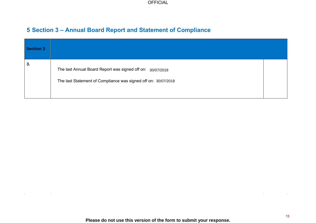## **5 Section 3 – Annual Board Report and Statement of Compliance**

 $\mathcal{L}(\mathcal{L}^{\mathcal{L}})$  and  $\mathcal{L}^{\mathcal{L}}$  are the set of the set of  $\mathcal{L}^{\mathcal{L}}$ 

| <b>Section 3</b> |                                                                                                                              |  |
|------------------|------------------------------------------------------------------------------------------------------------------------------|--|
| 3.               | The last Annual Board Report was signed off on: 30/07/2018<br>The last Statement of Compliance was signed off on: 30/07/2018 |  |

the control of the control of the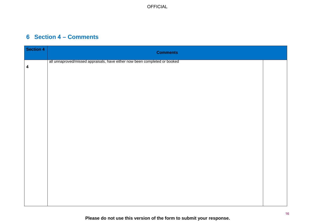## **6 Section 4 – Comments**

| Section 4               | <b>Comments</b>                                                            |  |
|-------------------------|----------------------------------------------------------------------------|--|
| $\overline{\mathbf{4}}$ | all unnaproved/missed appraisals, have either now been completed or booked |  |
|                         |                                                                            |  |
|                         |                                                                            |  |
|                         |                                                                            |  |
|                         |                                                                            |  |
|                         |                                                                            |  |
|                         |                                                                            |  |
|                         |                                                                            |  |
|                         |                                                                            |  |
|                         |                                                                            |  |
|                         |                                                                            |  |
|                         |                                                                            |  |